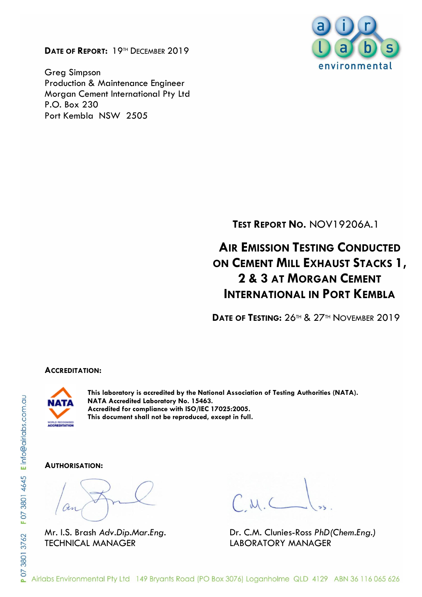**DATE OF REPORT:** 19TH DECEMBER 2019

Greg Simpson Production & Maintenance Engineer Morgan Cement International Pty Ltd P.O. Box 230 Port Kembla NSW 2505



**TEST REPORT NO.** NOV19206A.1

# **AIR EMISSION TESTING CONDUCTED ON CEMENT MILL EXHAUST STACKS 1, 2 & 3 AT MORGAN CEMENT INTERNATIONAL IN PORT KEMBLA**

**DATE OF TESTING:** 26TH & 27TH NOVEMBER 2019

#### **ACCREDITATION:**



**This laboratory is accredited by the National Association of Testing Authorities (NATA). NATA Accredited Laboratory No. 15463. Accredited for compliance with ISO/IEC 17025:2005. This document shall not be reproduced, except in full.**

#### **AUTHORISATION:**

TECHNICAL MANAGER LABORATORY MANAGER

Mr. I.S. Brash *Adv.Dip.Mar.Eng.* Dr. C.M. Clunies-Ross *PhD(Chem.Eng.)*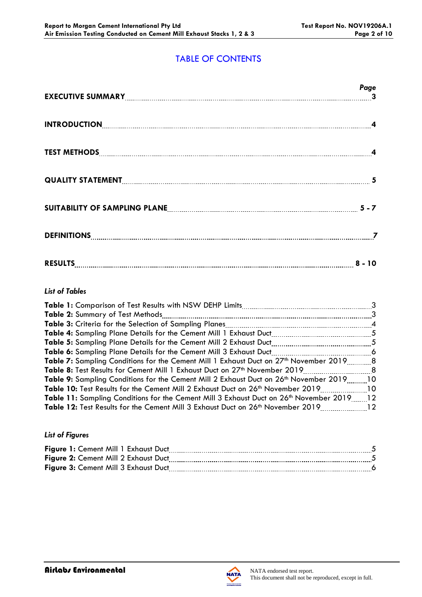# TABLE OF CONTENTS

|                                                                     | Page |
|---------------------------------------------------------------------|------|
| INTRODUCTION 4                                                      |      |
|                                                                     |      |
|                                                                     |      |
| SUITABILITY OF SAMPLING PLANE <b>[19] THE READER ASSESSED</b> 5 - 7 |      |
|                                                                     |      |
| RESULTS 8 - 10                                                      |      |

## *List of Tables*

| <b>Table 2:</b> Summary of Test Methods                                                                   |        |
|-----------------------------------------------------------------------------------------------------------|--------|
|                                                                                                           |        |
|                                                                                                           |        |
|                                                                                                           |        |
|                                                                                                           |        |
| <b>Table 7:</b> Sampling Conditions for the Cement Mill 1 Exhaust Duct on 27 <sup>th</sup> November 20198 |        |
| <b>Table 8:</b> Test Results for Cement Mill 1 Exhaust Duct on 27 <sup>th</sup> November 2019             | . 8. 8 |
| <b>Table 9:</b> Sampling Conditions for the Cement Mill 2 Exhaust Duct on 26 <sup>th</sup> November 2019  | - 10   |
| 10. Table 10: Test Results for the Cement Mill 2 Exhaust Duct on 26 <sup>th</sup> November 201910         |        |
| Table 11: Sampling Conditions for the Cement Mill 3 Exhaust Duct on 26th November 201912                  |        |
| 12 Table 12: Test Results for the Cement Mill 3 Exhaust Duct on 26 <sup>th</sup> November 2019            |        |

#### *List of Figures*

| Figure 1: Cement Mill 1 Exhaust Duct |  |
|--------------------------------------|--|
| Figure 2: Cement Mill 2 Exhaust Duct |  |
| Figure 3: Cement Mill 3 Exhaust Duct |  |
|                                      |  |

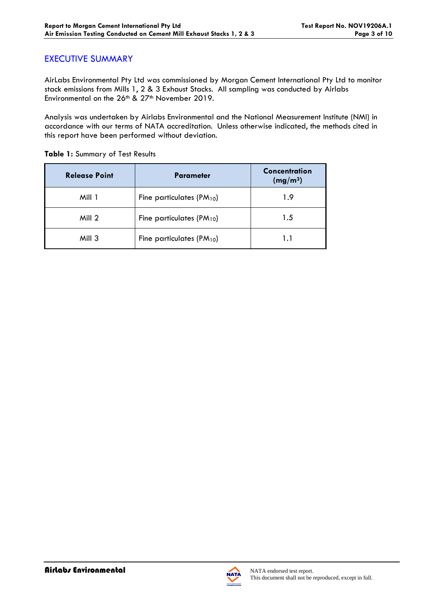## EXECUTIVE SUMMARY

AirLabs Environmental Pty Ltd was commissioned by Morgan Cement International Pty Ltd to monitor stack emissions from Mills 1, 2 & 3 Exhaust Stacks. All sampling was conducted by Airlabs Environmental on the 26<sup>th</sup> & 27<sup>th</sup> November 2019.

Analysis was undertaken by Airlabs Environmental and the National Measurement Institute (NMI) in accordance with our terms of NATA accreditation. Unless otherwise indicated, the methods cited in this report have been performed without deviation.

| <b>Release Point</b> | <b>Parameter</b>                      | Concentration<br>(mg/m <sup>3</sup> ) |
|----------------------|---------------------------------------|---------------------------------------|
| Mill 1               | Fine particulates $(PM_{10})$         | 1.9                                   |
| Mill 2               | Fine particulates (PM <sub>10</sub> ) | 1.5                                   |
| Mill 3               | Fine particulates $(PM_{10})$         | 1.1                                   |

**Table 1:** Summary of Test Results



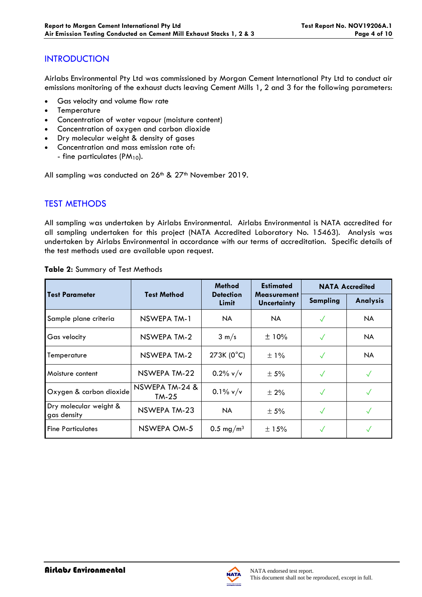# **INTRODUCTION**

Airlabs Environmental Pty Ltd was commissioned by Morgan Cement International Pty Ltd to conduct air emissions monitoring of the exhaust ducts leaving Cement Mills 1, 2 and 3 for the following parameters:

- Gas velocity and volume flow rate
- **Temperature**
- Concentration of water vapour (moisture content)
- Concentration of oxygen and carbon dioxide
- Dry molecular weight & density of gases
- Concentration and mass emission rate of: - fine particulates (PM<sub>10</sub>).

All sampling was conducted on 26<sup>th</sup> & 27<sup>th</sup> November 2019.

# TEST METHODS

All sampling was undertaken by Airlabs Environmental. Airlabs Environmental is NATA accredited for all sampling undertaken for this project (NATA Accredited Laboratory No. 15463). Analysis was undertaken by Airlabs Environmental in accordance with our terms of accreditation. Specific details of the test methods used are available upon request.

|                                       | <b>Test Method</b>        | <b>Method</b>             | <b>Estimated</b>                         | <b>NATA Accredited</b> |                 |
|---------------------------------------|---------------------------|---------------------------|------------------------------------------|------------------------|-----------------|
| <b>Test Parameter</b>                 |                           | <b>Detection</b><br>Limit | <b>Measurement</b><br><b>Uncertainty</b> | <b>Sampling</b>        | <b>Analysis</b> |
| Sample plane criteria                 | NSWEPA TM-1               | NA.                       | NA.                                      | $\checkmark$           | NA.             |
| Gas velocity                          | NSWEPA TM-2               | $3 \text{ m/s}$           | ±10%                                     | $\checkmark$           | <b>NA</b>       |
| Temperature                           | NSWEPA TM-2               | 273K (0°C)                | $\pm$ 1%                                 | $\checkmark$           | <b>NA</b>       |
| Moisture content                      | NSWEPA TM-22              | $0.2\%$ v/v               | $\pm$ 5%                                 | $\sqrt{}$              | $\checkmark$    |
| Oxygen & carbon dioxide               | NSWEPA TM-24 &<br>$TM-25$ | $0.1\%$ v/v               | $± 2\%$                                  | $\checkmark$           |                 |
| Dry molecular weight &<br>gas density | NSWEPA TM-23              | <b>NA</b>                 | $\pm$ 5%                                 | $\checkmark$           |                 |
| <b>Fine Particulates</b>              | NSWEPA OM-5               | $0.5 \text{ mg/m}^3$      | ±15%                                     |                        |                 |

#### **Table 2:** Summary of Test Methods

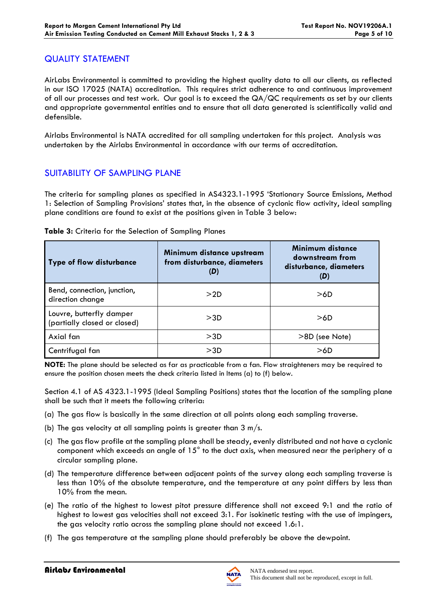## QUALITY STATEMENT

AirLabs Environmental is committed to providing the highest quality data to all our clients, as reflected in our ISO 17025 (NATA) accreditation. This requires strict adherence to and continuous improvement of all our processes and test work. Our goal is to exceed the QA/QC requirements as set by our clients and appropriate governmental entities and to ensure that all data generated is scientifically valid and defensible.

Airlabs Environmental is NATA accredited for all sampling undertaken for this project. Analysis was undertaken by the Airlabs Environmental in accordance with our terms of accreditation.

# SUITABILITY OF SAMPLING PLANE

The criteria for sampling planes as specified in AS4323.1-1995 'Stationary Source Emissions, Method 1: Selection of Sampling Provisions' states that, in the absence of cyclonic flow activity, ideal sampling plane conditions are found to exist at the positions given in Table 3 below:

| <b>Type of flow disturbance</b>                          | Minimum distance upstream<br>from disturbance, diameters<br>(D) | Minimum distance<br>downstream from<br>disturbance, diameters<br>$(\mathbf{D})$ |
|----------------------------------------------------------|-----------------------------------------------------------------|---------------------------------------------------------------------------------|
| Bend, connection, junction,<br>direction change          | >2D                                                             | >6D                                                                             |
| Louvre, butterfly damper<br>(partially closed or closed) | >3D                                                             | >6D                                                                             |
| Axial fan                                                | >3D                                                             | >8D (see Note)                                                                  |
| Centrifugal fan                                          | >3D                                                             | >6D                                                                             |

#### **Table 3:** Criteria for the Selection of Sampling Planes

**NOTE:** The plane should be selected as far as practicable from a fan. Flow straighteners may be required to ensure the position chosen meets the check criteria listed in Items (a) to (f) below.

Section 4.1 of AS 4323.1-1995 (Ideal Sampling Positions) states that the location of the sampling plane shall be such that it meets the following criteria:

- (a) The gas flow is basically in the same direction at all points along each sampling traverse.
- (b) The gas velocity at all sampling points is greater than  $3 \text{ m/s}$ .
- (c) The gas flow profile at the sampling plane shall be steady, evenly distributed and not have a cyclonic component which exceeds an angle of 15° to the duct axis, when measured near the periphery of a circular sampling plane.
- (d) The temperature difference between adjacent points of the survey along each sampling traverse is less than 10% of the absolute temperature, and the temperature at any point differs by less than 10% from the mean.
- (e) The ratio of the highest to lowest pitot pressure difference shall not exceed 9:1 and the ratio of highest to lowest gas velocities shall not exceed 3:1. For isokinetic testing with the use of impingers, the gas velocity ratio across the sampling plane should not exceed 1.6:1.
- (f) The gas temperature at the sampling plane should preferably be above the dewpoint.

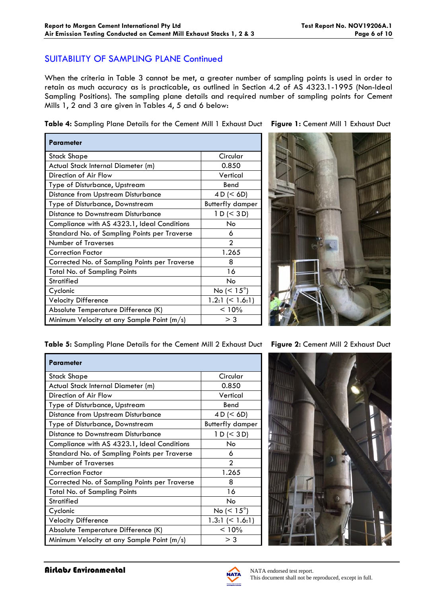## SUITABILITY OF SAMPLING PLANE Continued

When the criteria in Table 3 cannot be met, a greater number of sampling points is used in order to retain as much accuracy as is practicable, as outlined in Section 4.2 of AS 4323.1-1995 (Non-Ideal Sampling Positions). The sampling plane details and required number of sampling points for Cement Mills 1, 2 and 3 are given in Tables 4, 5 and 6 below:

**Table 4:** Sampling Plane Details for the Cement Mill 1 Exhaust Duct **Figure 1:** Cement Mill 1 Exhaust Duct

| Parameter                                     |                          |
|-----------------------------------------------|--------------------------|
| Stack Shape                                   | Circular                 |
| Actual Stack Internal Diameter (m)            | 0.850                    |
| Direction of Air Flow                         | Vertical                 |
| Type of Disturbance, Upstream                 | Bend                     |
| <b>Distance from Upstream Disturbance</b>     | 4 D (< 6D)               |
| Type of Disturbance, Downstream               | <b>Butterfly damper</b>  |
| Distance to Downstream Disturbance            | 1 D (< 3 D)              |
| Compliance with AS 4323.1, Ideal Conditions   | No                       |
| Standard No. of Sampling Points per Traverse  | 6                        |
| <b>Number of Traverses</b>                    | $\mathfrak{D}$           |
| <b>Correction Factor</b>                      | 1.265                    |
| Corrected No. of Sampling Points per Traverse | 8                        |
| Total No. of Sampling Points                  | 16                       |
| <b>Stratified</b>                             | No                       |
| Cyclonic                                      | No ( $\leq 15^{\circ}$ ) |
| <b>Velocity Difference</b>                    | 1.2:1 (< 1.6:1)          |
| Absolute Temperature Difference (K)           | < 10%                    |
| Minimum Velocity at any Sample Point (m/s)    | $>$ 3                    |



**Table 5:** Sampling Plane Details for the Cement Mill 2 Exhaust Duct **Figure 2:** Cement Mill 2 Exhaust Duct

| <b>Parameter</b>                              |                         |
|-----------------------------------------------|-------------------------|
| <b>Stack Shape</b>                            | Circular                |
| Actual Stack Internal Diameter (m)            | 0.850                   |
| Direction of Air Flow                         | Vertical                |
| Type of Disturbance, Upstream                 | Bend                    |
| Distance from Upstream Disturbance            | 4 D (< 6D)              |
| Type of Disturbance, Downstream               | <b>Butterfly damper</b> |
| Distance to Downstream Disturbance            | 1 D (< 3 D)             |
| Compliance with AS 4323.1, Ideal Conditions   | No                      |
| Standard No. of Sampling Points per Traverse  | 6                       |
| <b>Number of Traverses</b>                    | っ                       |
| <b>Correction Factor</b>                      | 1.265                   |
| Corrected No. of Sampling Points per Traverse | 8                       |
| <b>Total No. of Sampling Points</b>           | 16                      |
| <b>Stratified</b>                             | No                      |
| Cyclonic                                      | No ( $< 15^{\circ}$ )   |
| <b>Velocity Difference</b>                    | 1.3:1 $(< 1.6:1)$       |
| Absolute Temperature Difference (K)           | < 10%                   |
| Minimum Velocity at any Sample Point (m/s)    | $>$ 3                   |



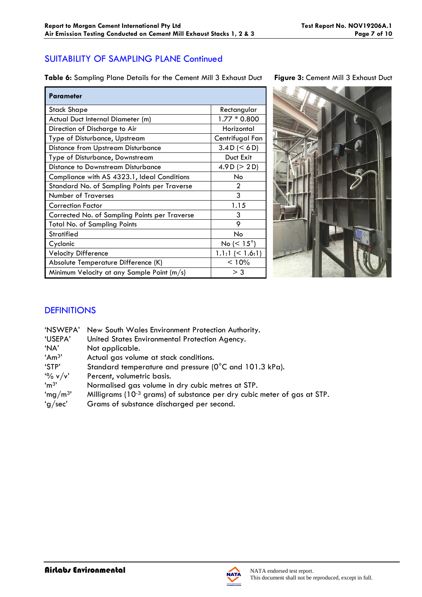# SUITABILITY OF SAMPLING PLANE Continued

**Table 6:** Sampling Plane Details for the Cement Mill 3 Exhaust Duct **Figure 3:** Cement Mill 3 Exhaust Duct

| <b>Parameter</b>                              |                       |
|-----------------------------------------------|-----------------------|
| Stack Shape                                   | Rectangular           |
| Actual Duct Internal Diameter (m)             | $1.77 * 0.800$        |
| Direction of Discharge to Air                 | Horizontal            |
| Type of Disturbance, Upstream                 | Centrifugal Fan       |
| <b>Distance from Upstream Disturbance</b>     | 3.4 D (< 6 D)         |
| Type of Disturbance, Downstream               | Duct Exit             |
| Distance to Downstream Disturbance            | 4.9 D ( $>$ 2 D)      |
| Compliance with AS 4323.1, Ideal Conditions   | No                    |
| Standard No. of Sampling Points per Traverse  | 2                     |
| <b>Number of Traverses</b>                    | 3                     |
| <b>Correction Factor</b>                      | 1.15                  |
| Corrected No. of Sampling Points per Traverse | 3                     |
| <b>Total No. of Sampling Points</b>           | 9                     |
| <b>Stratified</b>                             | <b>No</b>             |
| Cyclonic                                      | No ( $< 15^{\circ}$ ) |
| <b>Velocity Difference</b>                    | $1.1:1 \leq 1.6:1$    |
| Absolute Temperature Difference (K)           | < 10%                 |
| Minimum Velocity at any Sample Point (m/s)    | $>$ 3                 |



# **DEFINITIONS**

| 'NSWEPA'            | New South Wales Environment Protection Authority.                                   |
|---------------------|-------------------------------------------------------------------------------------|
| 'USEPA'             | United States Environmental Protection Agency.                                      |
| 'NA'                | Not applicable.                                                                     |
| 'Am <sup>3</sup> '  | Actual gas volume at stack conditions.                                              |
| 'STP'               | Standard temperature and pressure (0°C and 101.3 kPa).                              |
| $\frac{10}{6}$ v/v' | Percent, volumetric basis.                                                          |
| 'm <sup>3</sup>     | Normalised gas volume in dry cubic metres at STP.                                   |
| 'mg/m <sup>3'</sup> | Milligrams (10 <sup>-3</sup> grams) of substance per dry cubic meter of gas at STP. |
| 'g/sec'             | Grams of substance discharged per second.                                           |
|                     |                                                                                     |

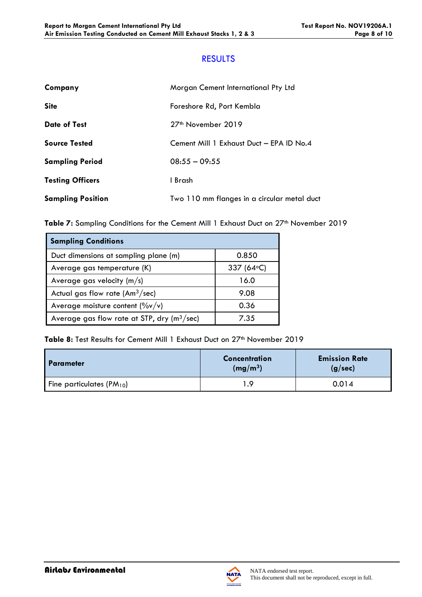## RESULTS

| Company                  | Morgan Cement International Pty Ltd         |
|--------------------------|---------------------------------------------|
| <b>Site</b>              | Foreshore Rd, Port Kembla                   |
| <b>Date of Test</b>      | 27 <sup>th</sup> November 2019              |
| <b>Source Tested</b>     | Cement Mill 1 Exhaust Duct - EPA ID No.4    |
| <b>Sampling Period</b>   | $08:55 - 09:55$                             |
| <b>Testing Officers</b>  | 1 Brash                                     |
| <b>Sampling Position</b> | Two 110 mm flanges in a circular metal duct |

Table 7: Sampling Conditions for the Cement Mill 1 Exhaust Duct on 27<sup>th</sup> November 2019

| <b>Sampling Conditions</b>                    |             |
|-----------------------------------------------|-------------|
| Duct dimensions at sampling plane (m)         | 0.850       |
| Average gas temperature (K)                   | 337 (64 °C) |
| Average gas velocity $(m/s)$                  | 16.0        |
| Actual gas flow rate $(Am3/sec)$              | 9.08        |
| Average moisture content $(\%v/v)$            | 0.36        |
| Average gas flow rate at STP, dry $(m^3/sec)$ | 7.35        |

Table 8: Test Results for Cement Mill 1 Exhaust Duct on 27<sup>th</sup> November 2019

| <b>Parameter</b>              | <b>Concentration</b><br>(mg/m <sup>3</sup> ) | <b>Emission Rate</b><br>(g/sec) |
|-------------------------------|----------------------------------------------|---------------------------------|
| Fine particulates $(PM_{10})$ | - 9                                          | 0.014                           |

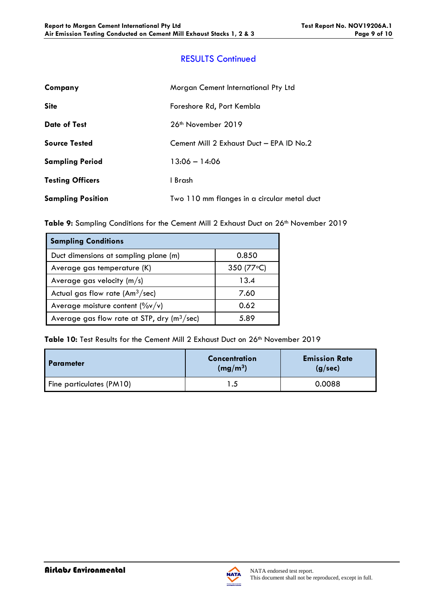# RESULTS Continued

| Company                  | Morgan Cement International Pty Ltd         |  |
|--------------------------|---------------------------------------------|--|
| <b>Site</b>              | Foreshore Rd, Port Kembla                   |  |
| <b>Date of Test</b>      | 26 <sup>th</sup> November 2019              |  |
| <b>Source Tested</b>     | Cement Mill 2 Exhaust Duct - EPA ID No.2    |  |
| <b>Sampling Period</b>   | $13:06 - 14:06$                             |  |
| <b>Testing Officers</b>  | 1 Brash                                     |  |
| <b>Sampling Position</b> | Two 110 mm flanges in a circular metal duct |  |

Table 9: Sampling Conditions for the Cement Mill 2 Exhaust Duct on 26<sup>th</sup> November 2019

| <b>Sampling Conditions</b>                    |             |
|-----------------------------------------------|-------------|
| Duct dimensions at sampling plane (m)         | 0.850       |
| Average gas temperature (K)                   | 350 (77 °C) |
| Average gas velocity $(m/s)$                  | 13.4        |
| Actual gas flow rate $(Am3/sec)$              | 7.60        |
| Average moisture content $(\frac{9}{v}v/v)$   | 0.62        |
| Average gas flow rate at STP, dry $(m^3/sec)$ | 5.89        |

Table 10: Test Results for the Cement Mill 2 Exhaust Duct on 26<sup>th</sup> November 2019

| <b>Parameter</b>         | Concentration<br>(mg/m <sup>3</sup> ) | <b>Emission Rate</b><br>(g/sec) |
|--------------------------|---------------------------------------|---------------------------------|
| Fine particulates (PM10) |                                       | 0.0088                          |